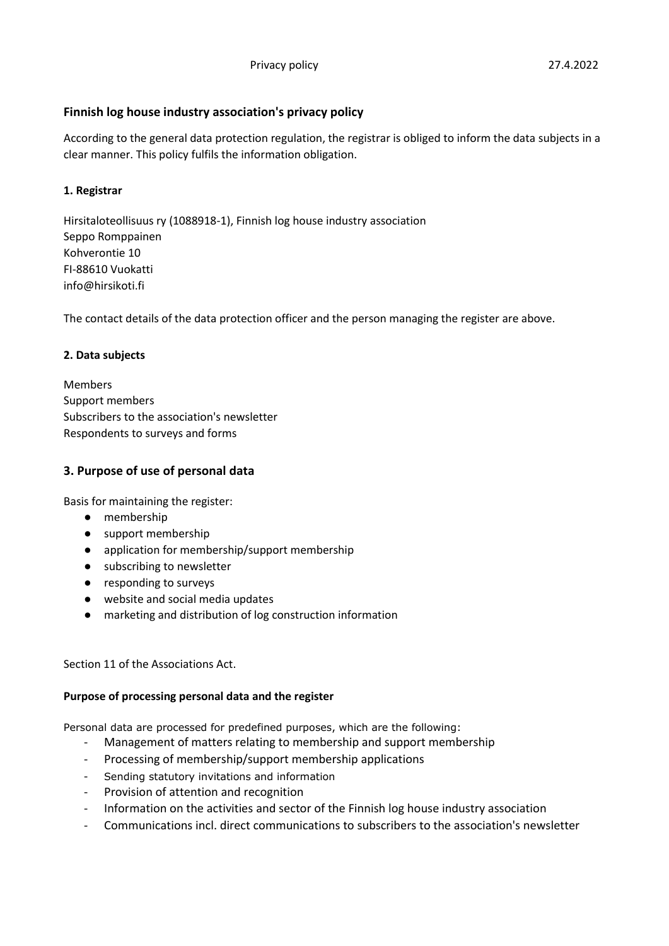According to the general data protection regulation, the registrar is obliged to inform the data subjects in a clear manner. This policy fulfils the information obligation.

# **1. Registrar**

Hirsitaloteollisuus ry (1088918-1), Finnish log house industry association Seppo Romppainen Kohverontie 10 FI-88610 Vuokatti info@hirsikoti.fi

**Finnish log house industry association's privacy policy**

The contact details of the data protection officer and the person managing the register are above.

# **2. Data subjects**

Members Support members Subscribers to the association's newsletter Respondents to surveys and forms

# **3. Purpose of use of personal data**

Basis for maintaining the register:

- membership
- support membership
- application for membership/support membership
- subscribing to newsletter
- responding to surveys
- website and social media updates
- marketing and distribution of log construction information

Section 11 of the Associations Act.

# **Purpose of processing personal data and the register**

Personal data are processed for predefined purposes, which are the following:

- Management of matters relating to membership and support membership
- Processing of membership/support membership applications
- Sending statutory invitations and information
- Provision of attention and recognition
- Information on the activities and sector of the Finnish log house industry association
- Communications incl. direct communications to subscribers to the association's newsletter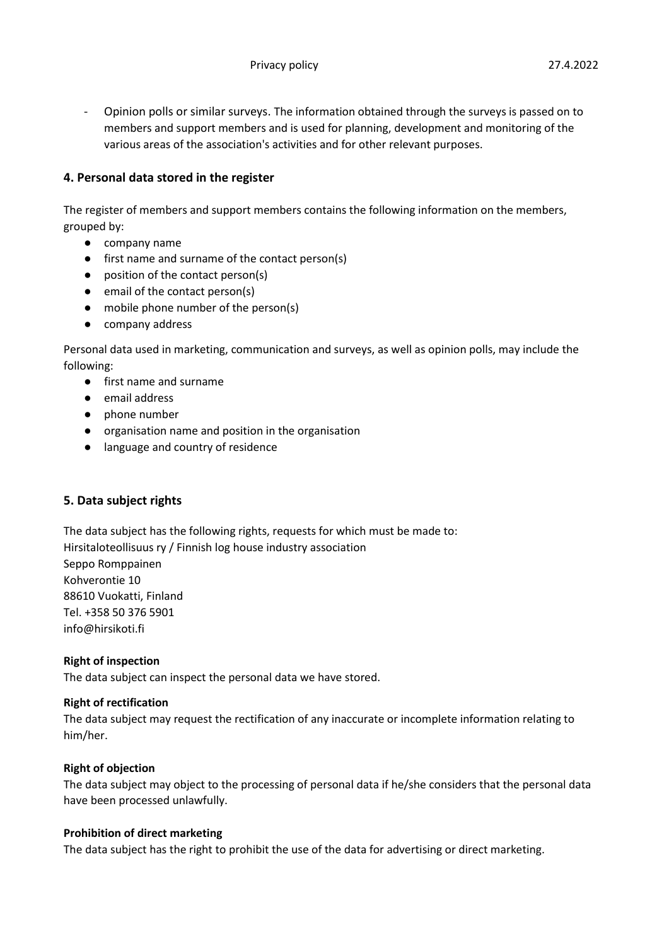- Opinion polls or similar surveys. The information obtained through the surveys is passed on to members and support members and is used for planning, development and monitoring of the various areas of the association's activities and for other relevant purposes.

# **4. Personal data stored in the register**

The register of members and support members contains the following information on the members, grouped by:

- company name
- first name and surname of the contact person(s)
- position of the contact person(s)
- email of the contact person(s)
- mobile phone number of the person(s)
- company address

Personal data used in marketing, communication and surveys, as well as opinion polls, may include the following:

- first name and surname
- email address
- phone number
- organisation name and position in the organisation
- language and country of residence

# **5. Data subject rights**

The data subject has the following rights, requests for which must be made to: Hirsitaloteollisuus ry / Finnish log house industry association Seppo Romppainen Kohverontie 10 88610 Vuokatti, Finland Tel. +358 50 376 5901 [info@hirsikoti.fi](mailto:info@hirsikoti.fi)

# **Right of inspection**

The data subject can inspect the personal data we have stored.

# **Right of rectification**

The data subject may request the rectification of any inaccurate or incomplete information relating to him/her.

# **Right of objection**

The data subject may object to the processing of personal data if he/she considers that the personal data have been processed unlawfully.

# **Prohibition of direct marketing**

The data subject has the right to prohibit the use of the data for advertising or direct marketing.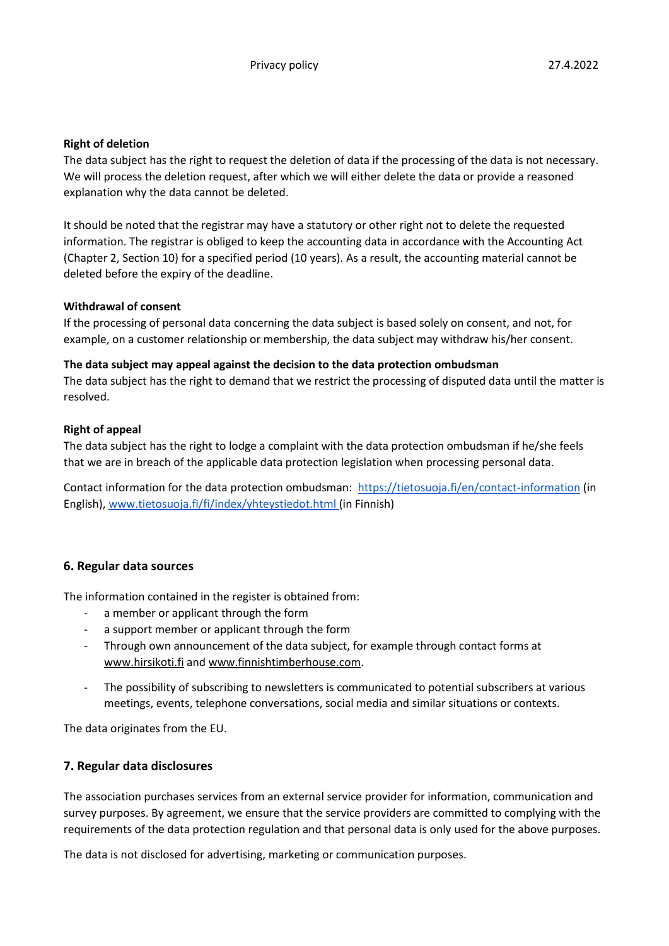# **Right of deletion**

The data subject has the right to request the deletion of data if the processing of the data is not necessary. We will process the deletion request, after which we will either delete the data or provide a reasoned explanation why the data cannot be deleted.

It should be noted that the registrar may have a statutory or other right not to delete the requested information. The registrar is obliged to keep the accounting data in accordance with the Accounting Act (Chapter 2, Section 10) for a specified period (10 years). As a result, the accounting material cannot be deleted before the expiry of the deadline.

### **Withdrawal of consent**

If the processing of personal data concerning the data subject is based solely on consent, and not, for example, on a customer relationship or membership, the data subject may withdraw his/her consent.

### **The data subject may appeal against the decision to the data protection ombudsman**

The data subject has the right to demand that we restrict the processing of disputed data until the matter is resolved.

### **Right of appeal**

The data subject has the right to lodge a complaint with the data protection ombudsman if he/she feels that we are in breach of the applicable data protection legislation when processing personal data.

Contact information for the data protection ombudsman: <https://tietosuoja.fi/en/contact-information> (in English)[, www.tietosuoja.fi/fi/index/yhteystiedot.html](http://www.tietosuoja.fi/fi/index/yhteystiedot.html) (in Finnish)

# **6. Regular data sources**

The information contained in the register is obtained from:

- a member or applicant through the form
- a support member or applicant through the form
- Through own announcement of the data subject, for example through contact forms at [www.hirsikoti.fi](http://www.hirsikoti.fi/) an[d www.finnishtimberhouse.com.](http://www.finnishtimberhouse.com/)
- The possibility of subscribing to newsletters is communicated to potential subscribers at various meetings, events, telephone conversations, social media and similar situations or contexts.

The data originates from the EU.

# **7. Regular data disclosures**

The association purchases services from an external service provider for information, communication and survey purposes. By agreement, we ensure that the service providers are committed to complying with the requirements of the data protection regulation and that personal data is only used for the above purposes.

The data is not disclosed for advertising, marketing or communication purposes.